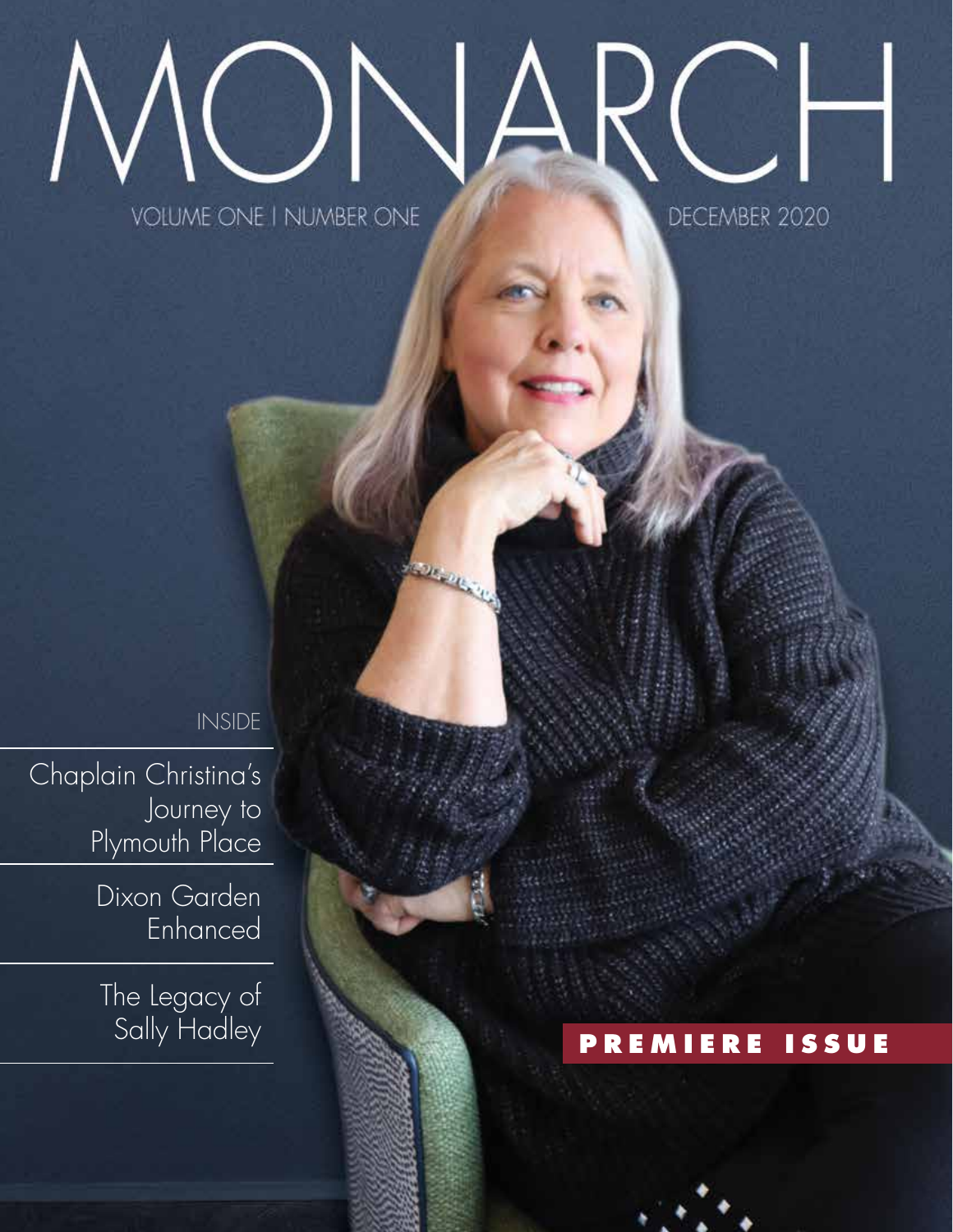### J  $\prec$ **VOLUME ONE I NUMBER ONE** DECEMBER 2020

INSIDE

Chaplain Christina's Journey to Plymouth Place

> Dixon Garden Enhanced

The Legacy of<br>Sally Hadley

Sally Hadley **PREMIERE ISSUE**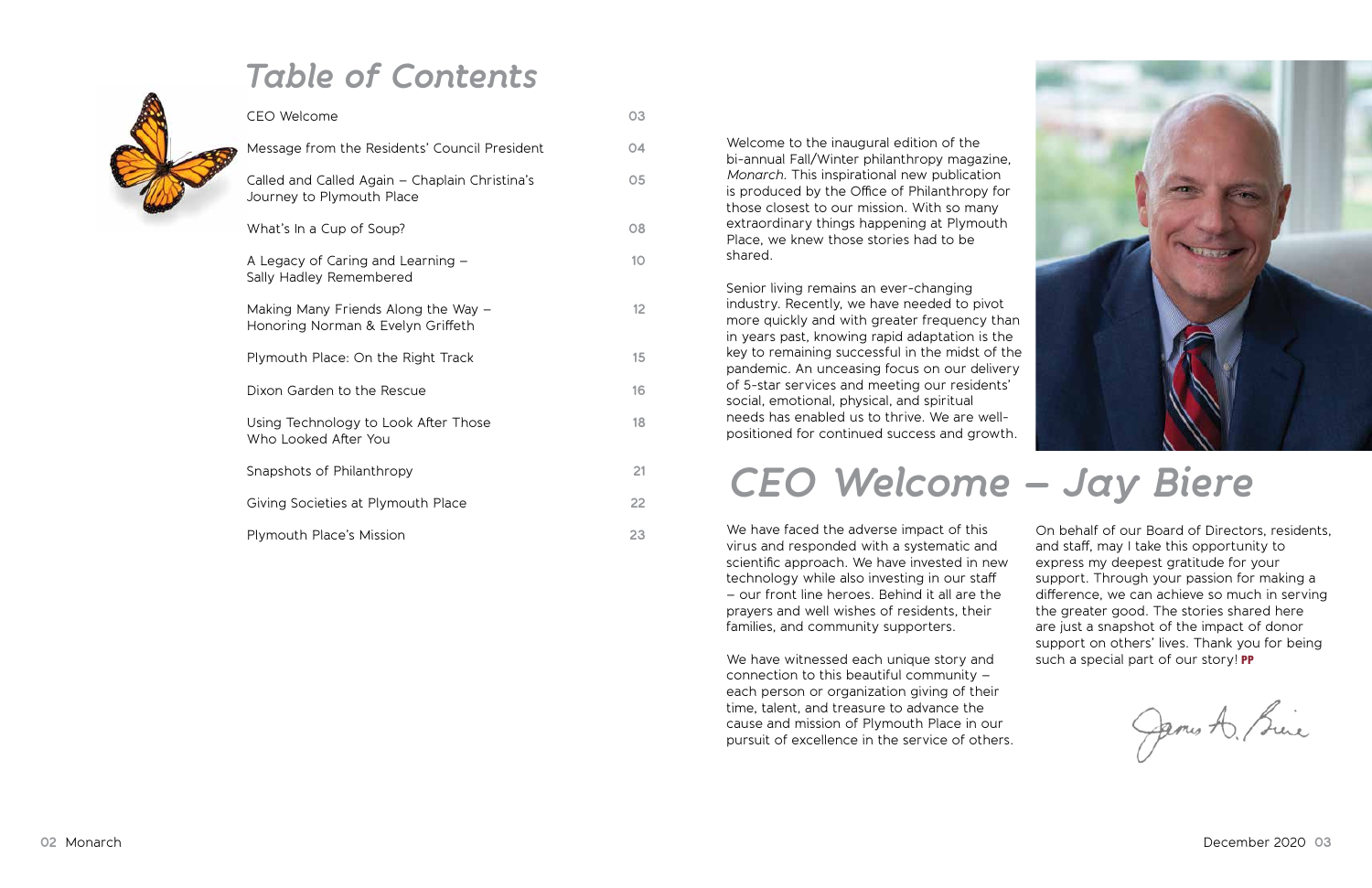|  | <b>CEO Welcome</b>                                                          | 03 |
|--|-----------------------------------------------------------------------------|----|
|  | Message from the Residents' Council President                               | 04 |
|  | Called and Called Again – Chaplain Christina's<br>Journey to Plymouth Place | 05 |
|  | What's In a Cup of Soup?                                                    | 08 |
|  | A Legacy of Caring and Learning –<br>Sally Hadley Remembered                | 10 |
|  | Making Many Friends Along the Way -<br>Honoring Norman & Evelyn Griffeth    | 12 |
|  | Plymouth Place: On the Right Track                                          | 15 |
|  | Dixon Garden to the Rescue                                                  | 16 |
|  | Using Technology to Look After Those<br>Who Looked After You                | 18 |
|  | Snapshots of Philanthropy                                                   | 21 |
|  | Giving Societies at Plymouth Place                                          | 22 |
|  | <b>Plymouth Place's Mission</b>                                             | 23 |

Welcome to the inaugural edition of the bi-annual Fall/Winter philanthropy magazine, *Monarch.* This inspirational new publication is produced by the Office of Philanthropy for those closest to our mission. With so many extraordinary things happening at Plymouth Place, we knew those stories had to be shared.

> On behalf of our Board of Directors, residents, and staff, may I take this opportunity to express my deepest gratitude for your support. Through your passion for making a difference, we can achieve so much in serving the greater good. The stories shared here are just a snapshot of the impact of donor support on others' lives. Thank you for being such a special part of our story! PP

James A. Brice

Senior living remains an ever-changing industry. Recently, we have needed to pivot more quickly and with greater frequency than in years past, knowing rapid adaptation is the key to remaining successful in the midst of the pandemic. An unceasing focus on our delivery of 5-star services and meeting our residents' social, emotional, physical, and spiritual needs has enabled us to thrive. We are wellpositioned for continued success and growth.

We have faced the adverse impact of this virus and responded with a systematic and scientific approach. We have invested in new technology while also investing in our staff – our front line heroes. Behind it all are the prayers and well wishes of residents, their families, and community supporters.

We have witnessed each unique story and connection to this beautiful community – each person or organization giving of their time, talent, and treasure to advance the cause and mission of Plymouth Place in our pursuit of excellence in the service of others.



### *Table of Contents*

## *CEO Welcome – Jay Biere*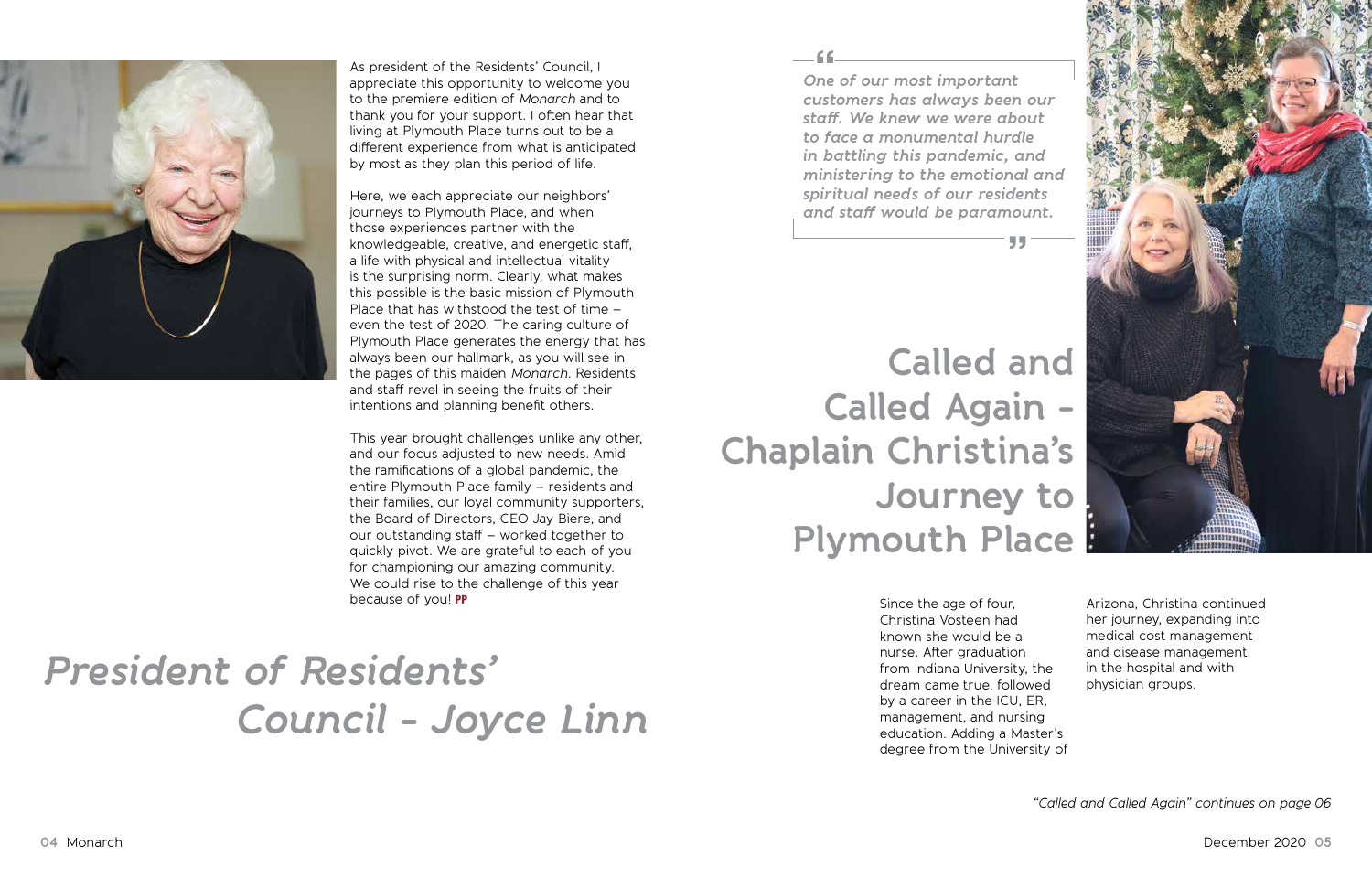

As president of the Residents' Council, I appreciate this opportunity to welcome you to the premiere edition of *Monarch* and to thank you for your support. I often hear that living at Plymouth Place turns out to be a different experience from what is anticipated by most as they plan this period of life.

Here, we each appreciate our neighbors' journeys to Plymouth Place, and when those experiences partner with the knowledgeable, creative, and energetic staff, a life with physical and intellectual vitality is the surprising norm. Clearly, what makes this possible is the basic mission of Plymouth Place that has withstood the test of time – even the test of 2020. The caring culture of Plymouth Place generates the energy that has always been our hallmark, as you will see in the pages of this maiden *Monarch.* Residents and staff revel in seeing the fruits of their intentions and planning benefit others.

This year brought challenges unlike any other, and our focus adjusted to new needs. Amid the ramifications of a global pandemic, the entire Plymouth Place family – residents and their families, our loyal community supporters, the Board of Directors, CEO Jay Biere, and our outstanding staff – worked together to quickly pivot. We are grateful to each of you for championing our amazing community. We could rise to the challenge of this year because of you! PP

# *President of Residents' Council - Joyce Linn*

**Called and Called Again - Chaplain Christina's Journey to Plymouth Place**

*One of our most important customers has always been our staff. We knew we were about to face a monumental hurdle in battling this pandemic, and ministering to the emotional and spiritual needs of our residents and staff would be paramount.*

> Since the age of four, Christina Vosteen had known she would be a nurse. After graduation from Indiana University, the dream came true, followed by a career in the ICU, ER, management, and nursing education. Adding a Master's degree from the University of

99.



Arizona, Christina continued her journey, expanding into medical cost management and disease management in the hospital and with physician groups.

*"Called and Called Again" continues on page 06*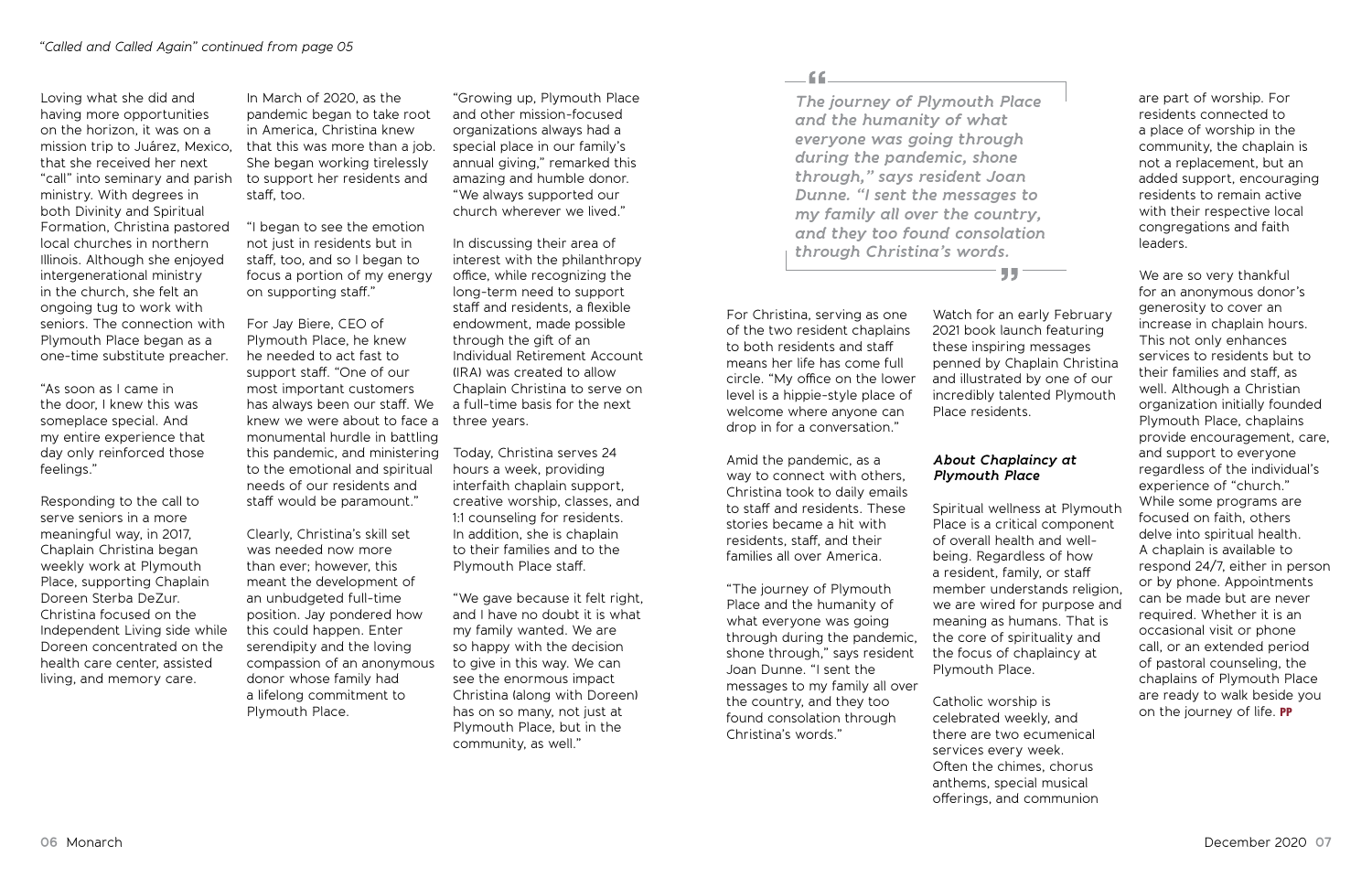Loving what she did and having more opportunities on the horizon, it was on a mission trip to Juárez, Mexico, that this was more than a job. that she received her next "call" into seminary and parish to support her residents and ministry. With degrees in both Divinity and Spiritual Formation, Christina pastored "I began to see the emotion local churches in northern Illinois. Although she enjoyed intergenerational ministry in the church, she felt an ongoing tug to work with seniors. The connection with Plymouth Place began as a one-time substitute preacher.

"As soon as I came in the door, I knew this was someplace special. And my entire experience that day only reinforced those feelings."

Responding to the call to serve seniors in a more meaningful way, in 2017, Chaplain Christina began weekly work at Plymouth Place, supporting Chaplain Doreen Sterba DeZur. Christina focused on the Independent Living side while Doreen concentrated on the health care center, assisted living, and memory care.

In March of 2020, as the pandemic began to take root in America, Christina knew She began working tirelessly staff, too.

not just in residents but in staff, too, and so I began to focus a portion of my energy on supporting staff."

For Jay Biere, CEO of Plymouth Place, he knew he needed to act fast to support staff. "One of our most important customers has always been our staff. We knew we were about to face a monumental hurdle in battling this pandemic, and ministering to the emotional and spiritual needs of our residents and staff would be paramount."

Clearly, Christina's skill set was needed now more than ever; however, this meant the development of an unbudgeted full-time position. Jay pondered how this could happen. Enter serendipity and the loving compassion of an anonymous donor whose family had a lifelong commitment to Plymouth Place.

"Growing up, Plymouth Place and other mission-focused organizations always had a special place in our family's annual giving," remarked this amazing and humble donor. "We always supported our church wherever we lived."

In discussing their area of interest with the philanthropy office, while recognizing the long-term need to support staff and residents, a flexible endowment, made possible through the gift of an Individual Retirement Account (IRA) was created to allow Chaplain Christina to serve on a full-time basis for the next three years.

We are so very thankful for an anonymous donor's generosity to cover an increase in chaplain hours. This not only enhances services to residents but to their families and staff, as well. Although a Christian organization initially founded Plymouth Place, chaplains provide encouragement, care, and support to everyone regardless of the individual's experience of "church." While some programs are focused on faith, others delve into spiritual health. A chaplain is available to respond 24/7, either in person or by phone. Appointments can be made but are never required. Whether it is an occasional visit or phone call, or an extended period of pastoral counseling, the chaplains of Plymouth Place are ready to walk beside you on the journey of life. PP

Today, Christina serves 24 hours a week, providing interfaith chaplain support, creative worship, classes, and 1:1 counseling for residents. In addition, she is chaplain to their families and to the Plymouth Place staff.

"We gave because it felt right, and I have no doubt it is what my family wanted. We are so happy with the decision to give in this way. We can see the enormous impact Christina (along with Doreen) has on so many, not just at Plymouth Place, but in the community, as well."

-66

For Christina, serving as one of the two resident chaplains to both residents and staff means her life has come full circle. "My office on the lower level is a hippie-style place of welcome where anyone can drop in for a conversation."

Amid the pandemic, as a way to connect with others, Christina took to daily emails to staff and residents. These stories became a hit with residents, staff, and their families all over America.

"The journey of Plymouth Place and the humanity of what everyone was going through during the pandemic, shone through," says resident Joan Dunne. "I sent the messages to my family all over the country, and they too found consolation through Christina's words."

Watch for an early February 2021 book launch featuring these inspiring messages penned by Chaplain Christina and illustrated by one of our incredibly talented Plymouth Place residents.

#### *About Chaplaincy at Plymouth Place*

Spiritual wellness at Plymouth Place is a critical component of overall health and wellbeing. Regardless of how a resident, family, or staff member understands religion, we are wired for purpose and meaning as humans. That is the core of spirituality and the focus of chaplaincy at Plymouth Place.

Catholic worship is celebrated weekly, and there are two ecumenical services every week. Often the chimes, chorus anthems, special musical offerings, and communion

#### 551

are part of worship. For residents connected to a place of worship in the community, the chaplain is not a replacement, but an added support, encouraging residents to remain active with their respective local congregations and faith leaders.

*The journey of Plymouth Place and the humanity of what everyone was going through during the pandemic, shone through," says resident Joan Dunne. "I sent the messages to my family all over the country, and they too found consolation through Christina's words.*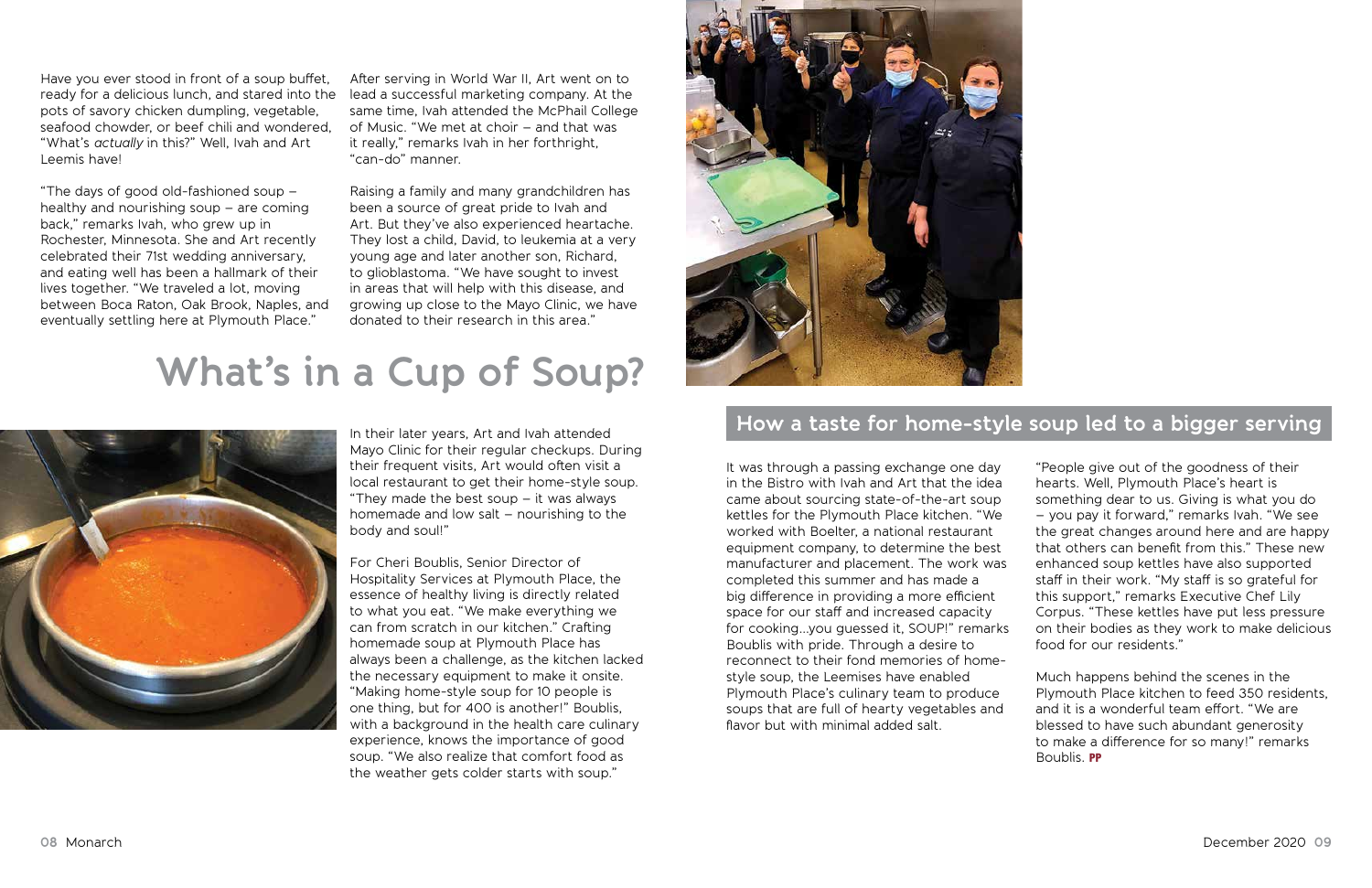Have you ever stood in front of a soup buffet, ready for a delicious lunch, and stared into the pots of savory chicken dumpling, vegetable, seafood chowder, or beef chili and wondered, "What's *actually* in this?" Well, Ivah and Art Leemis have!

"The days of good old-fashioned soup – healthy and nourishing soup – are coming back," remarks Ivah, who grew up in Rochester, Minnesota. She and Art recently celebrated their 71st wedding anniversary, and eating well has been a hallmark of their lives together. "We traveled a lot, moving between Boca Raton, Oak Brook, Naples, and eventually settling here at Plymouth Place."

After serving in World War II, Art went on to lead a successful marketing company. At the same time, Ivah attended the McPhail College of Music. "We met at choir – and that was it really," remarks Ivah in her forthright, "can-do" manner.

Raising a family and many grandchildren has been a source of great pride to Ivah and Art. But they've also experienced heartache. They lost a child, David, to leukemia at a very young age and later another son, Richard, to glioblastoma. "We have sought to invest in areas that will help with this disease, and growing up close to the Mayo Clinic, we have donated to their research in this area."

In their later years, Art and Ivah attended Mayo Clinic for their regular checkups. During their frequent visits, Art would often visit a local restaurant to get their home-style soup. "They made the best soup  $-$  it was always homemade and low salt – nourishing to the body and soul!"

For Cheri Boublis, Senior Director of Hospitality Services at Plymouth Place, the essence of healthy living is directly related to what you eat. "We make everything we can from scratch in our kitchen." Crafting homemade soup at Plymouth Place has always been a challenge, as the kitchen lacked the necessary equipment to make it onsite. "Making home-style soup for 10 people is one thing, but for 400 is another!" Boublis, with a background in the health care culinary experience, knows the importance of good soup. "We also realize that comfort food as the weather gets colder starts with soup."



It was through a passing exchange one day in the Bistro with Ivah and Art that the idea came about sourcing state-of-the-art soup kettles for the Plymouth Place kitchen. "We worked with Boelter, a national restaurant equipment company, to determine the best manufacturer and placement. The work was completed this summer and has made a big difference in providing a more efficient space for our staff and increased capacity for cooking…you guessed it, SOUP!" remarks Boublis with pride. Through a desire to reconnect to their fond memories of homestyle soup, the Leemises have enabled Plymouth Place's culinary team to produce soups that are full of hearty vegetables and flavor but with minimal added salt.

"People give out of the goodness of their hearts. Well, Plymouth Place's heart is something dear to us. Giving is what you do – you pay it forward," remarks Ivah. "We see the great changes around here and are happy that others can benefit from this." These new enhanced soup kettles have also supported staff in their work. "My staff is so grateful for this support," remarks Executive Chef Lily Corpus. "These kettles have put less pressure on their bodies as they work to make delicious food for our residents."

Much happens behind the scenes in the Plymouth Place kitchen to feed 350 residents, and it is a wonderful team effort. "We are blessed to have such abundant generosity to make a difference for so many!" remarks Boublis. PP

## **What's in a Cup of Soup?**



#### **How a taste for home-style soup led to a bigger serving**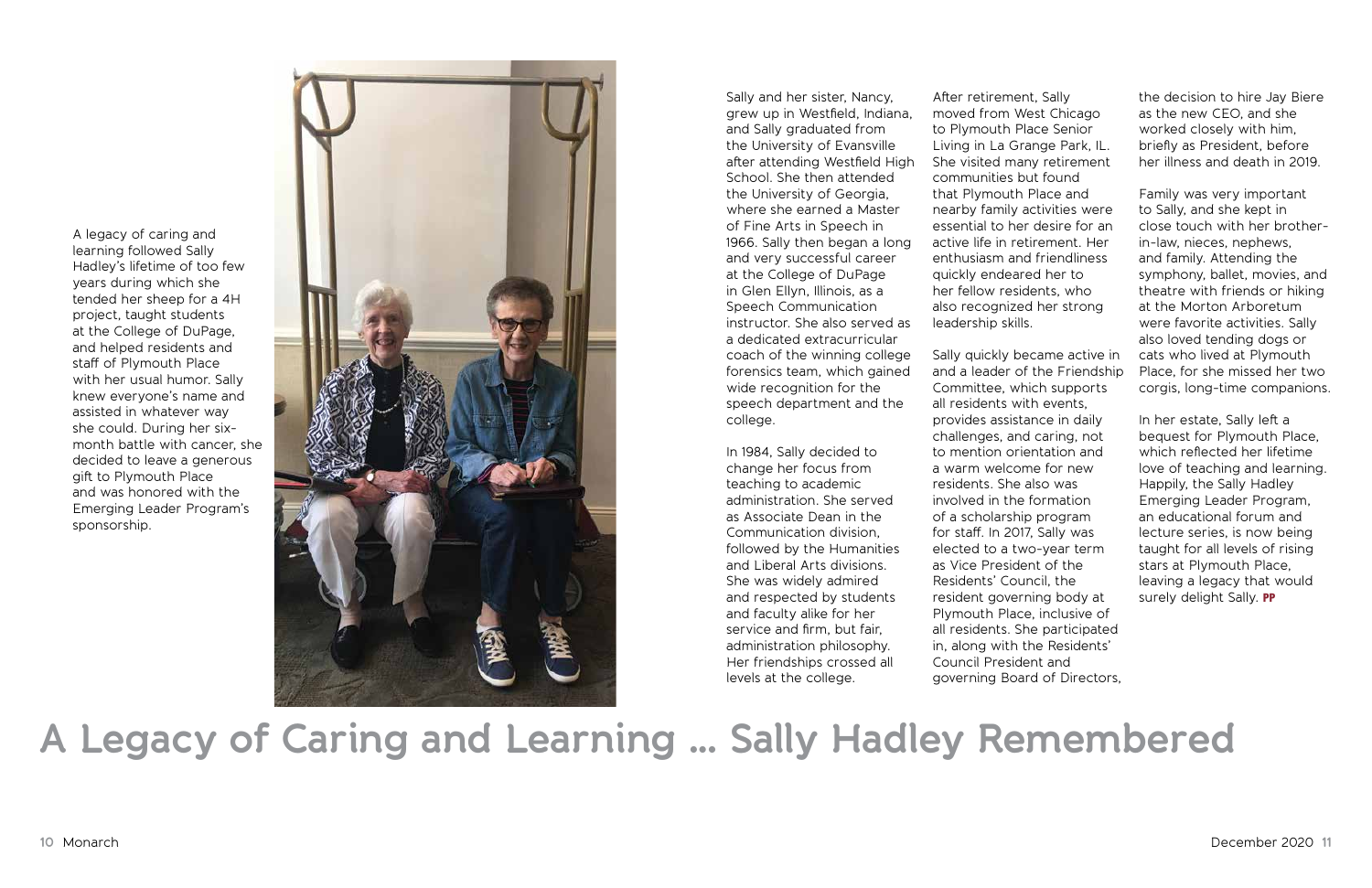A legacy of caring and learning followed Sally Hadley's lifetime of too few years during which she tended her sheep for a 4H project, taught students at the College of DuPage, and helped residents and staff of Plymouth Place with her usual humor. Sally knew everyone's name and assisted in whatever way she could. During her sixmonth battle with cancer, she decided to leave a generous gift to Plymouth Place and was honored with the Emerging Leader Program's sponsorship.



Sally and her sister, Nancy, grew up in Westfield, Indiana, and Sally graduated from the University of Evansville after attending Westfield High School. She then attended the University of Georgia, where she earned a Master of Fine Arts in Speech in 1966. Sally then began a long and very successful career at the College of DuPage in Glen Ellyn, Illinois, as a Speech Communication instructor. She also served as a dedicated extracurricular coach of the winning college forensics team, which gained wide recognition for the speech department and the college.

In 1984, Sally decided to change her focus from teaching to academic administration. She served as Associate Dean in the Communication division, followed by the Humanities and Liberal Arts divisions. She was widely admired and respected by students and faculty alike for her service and firm, but fair, administration philosophy. Her friendships crossed all levels at the college.

## **A Legacy of Caring and Learning … Sally Hadley Remembered**

In her estate, Sally left a bequest for Plymouth Place, which reflected her lifetime love of teaching and learning. Happily, the Sally Hadley Emerging Leader Program, an educational forum and lecture series, is now being taught for all levels of rising stars at Plymouth Place, leaving a legacy that would surely delight Sally. PP

After retirement, Sally moved from West Chicago to Plymouth Place Senior Living in La Grange Park, IL. She visited many retirement communities but found that Plymouth Place and nearby family activities were essential to her desire for an active life in retirement. Her enthusiasm and friendliness quickly endeared her to her fellow residents, who also recognized her strong leadership skills.

Sally quickly became active in and a leader of the Friendship Committee, which supports all residents with events, provides assistance in daily challenges, and caring, not to mention orientation and a warm welcome for new residents. She also was involved in the formation of a scholarship program for staff. In 2017, Sally was elected to a two-year term as Vice President of the Residents' Council, the resident governing body at Plymouth Place, inclusive of all residents. She participated in, along with the Residents' Council President and governing Board of Directors,

the decision to hire Jay Biere as the new CEO, and she worked closely with him, briefly as President, before her illness and death in 2019.

Family was very important to Sally, and she kept in close touch with her brotherin-law, nieces, nephews, and family. Attending the symphony, ballet, movies, and theatre with friends or hiking at the Morton Arboretum were favorite activities. Sally also loved tending dogs or cats who lived at Plymouth Place, for she missed her two corgis, long-time companions.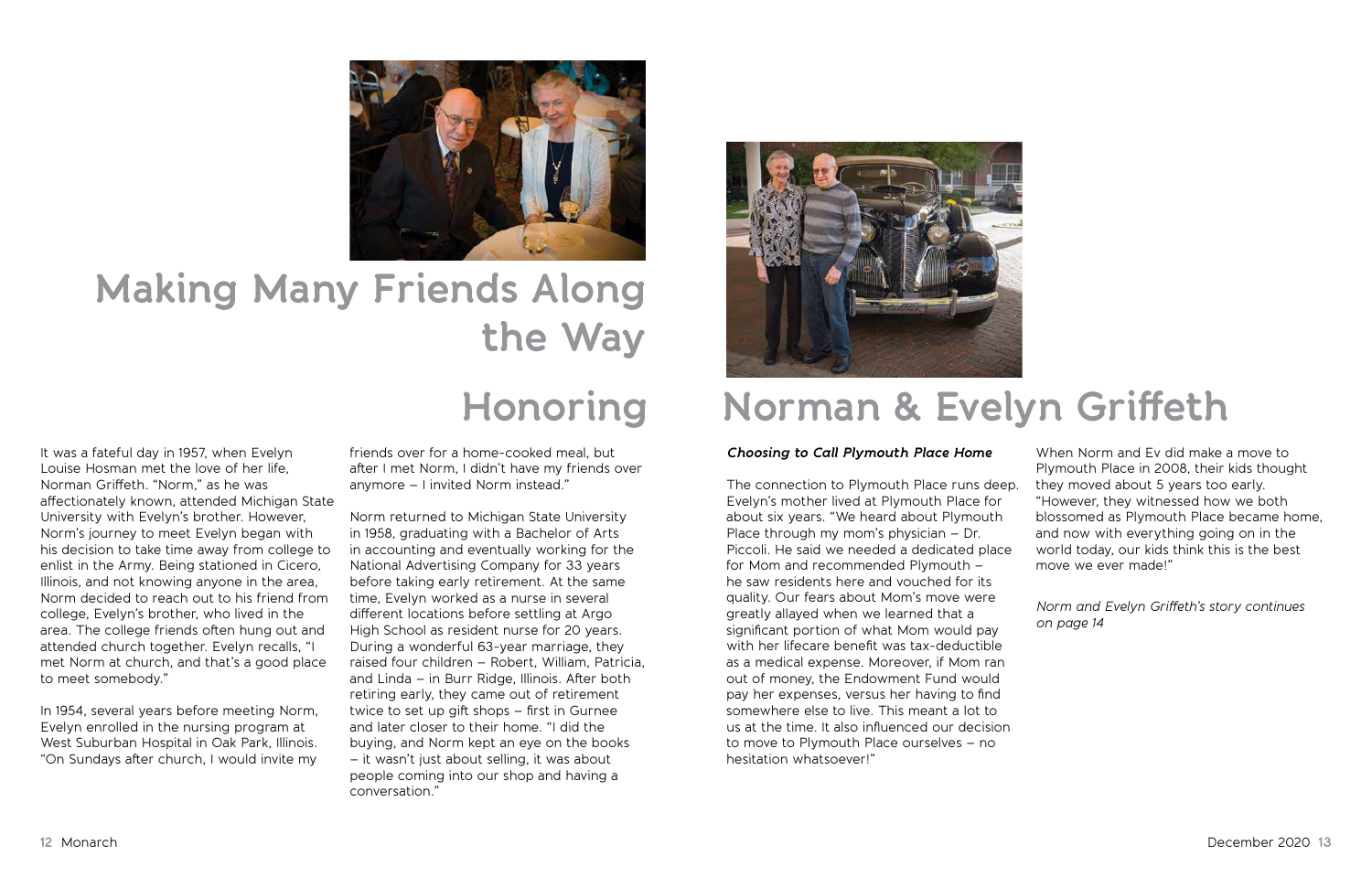It was a fateful day in 1957, when Evelyn Louise Hosman met the love of her life, Norman Griffeth. "Norm," as he was affectionately known, attended Michigan State University with Evelyn's brother. However, Norm's journey to meet Evelyn began with his decision to take time away from college to enlist in the Army. Being stationed in Cicero, Illinois, and not knowing anyone in the area, Norm decided to reach out to his friend from college, Evelyn's brother, who lived in the area. The college friends often hung out and attended church together. Evelyn recalls, "I met Norm at church, and that's a good place to meet somebody."

In 1954, several years before meeting Norm, Evelyn enrolled in the nursing program at West Suburban Hospital in Oak Park, Illinois. "On Sundays after church, I would invite my

friends over for a home-cooked meal, but after I met Norm, I didn't have my friends over anymore – I invited Norm instead."

Norm returned to Michigan State University in 1958, graduating with a Bachelor of Arts in accounting and eventually working for the National Advertising Company for 33 years before taking early retirement. At the same time, Evelyn worked as a nurse in several different locations before settling at Argo High School as resident nurse for 20 years. During a wonderful 63-year marriage, they raised four children – Robert, William, Patricia, and Linda – in Burr Ridge, Illinois. After both retiring early, they came out of retirement twice to set up gift shops – first in Gurnee and later closer to their home. "I did the buying, and Norm kept an eye on the books – it wasn't just about selling, it was about people coming into our shop and having a conversation."



#### *Choosing to Call Plymouth Place Home*

The connection to Plymouth Place runs deep. Evelyn's mother lived at Plymouth Place for about six years. "We heard about Plymouth Place through my mom's physician – Dr. Piccoli. He said we needed a dedicated place for Mom and recommended Plymouth – he saw residents here and vouched for its quality. Our fears about Mom's move were greatly allayed when we learned that a significant portion of what Mom would pay with her lifecare benefit was tax-deductible as a medical expense. Moreover, if Mom ran out of money, the Endowment Fund would pay her expenses, versus her having to find somewhere else to live. This meant a lot to us at the time. It also influenced our decision to move to Plymouth Place ourselves – no hesitation whatsoever!"



# **Making Many Friends Along the Way**

## **Honoring Norman & Evelyn Griffeth**

When Norm and Ev did make a move to Plymouth Place in 2008, their kids thought

they moved about 5 years too early. "However, they witnessed how we both blossomed as Plymouth Place became home, and now with everything going on in the world today, our kids think this is the best move we ever made!"

*Norm and Evelyn Griffeth's story continues on page 14*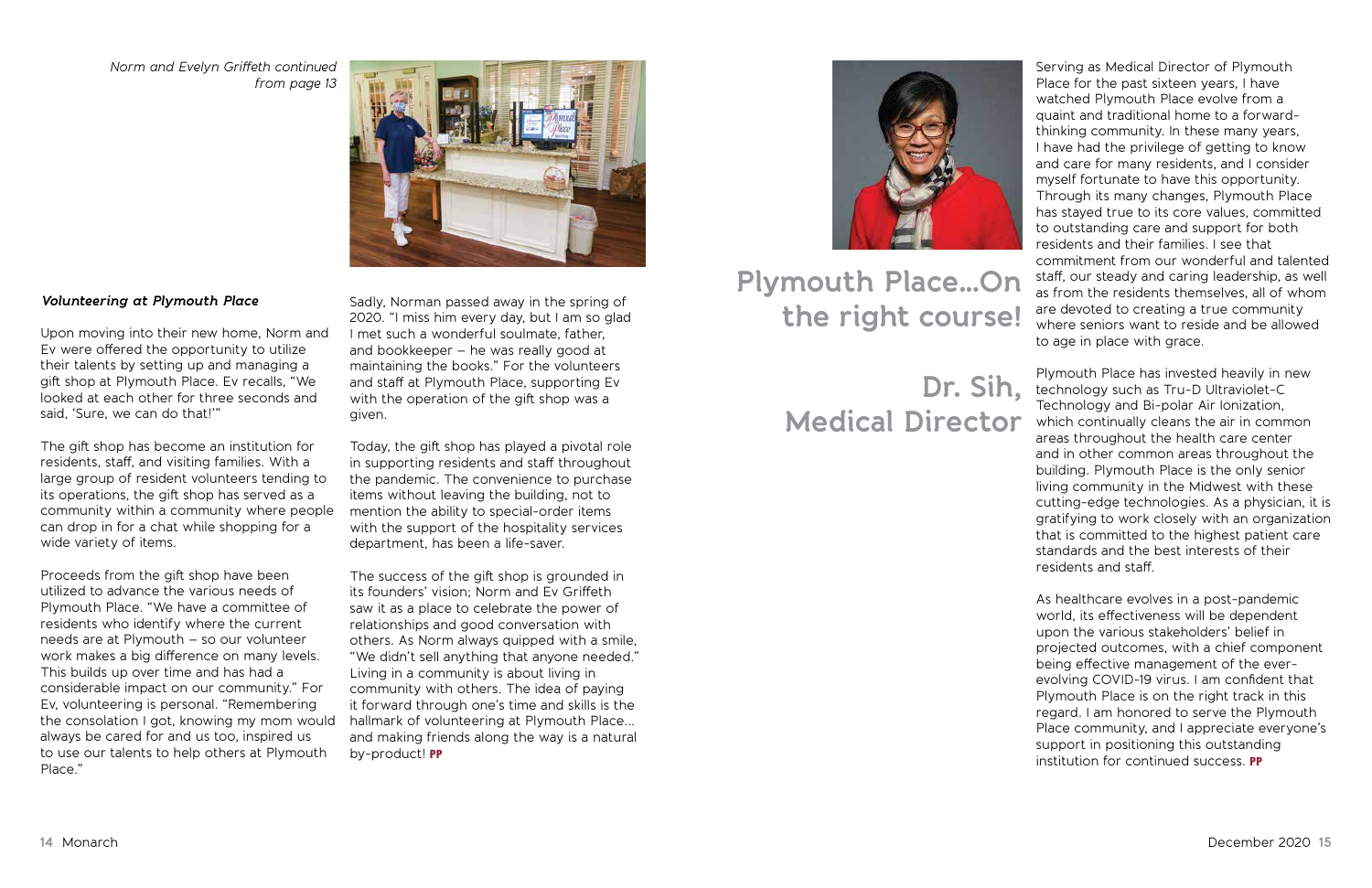#### *Volunteering at Plymouth Place*

Upon moving into their new home, Norm and Ev were offered the opportunity to utilize their talents by setting up and managing a gift shop at Plymouth Place. Ev recalls, "We looked at each other for three seconds and said, 'Sure, we can do that!'"

The gift shop has become an institution for residents, staff, and visiting families. With a large group of resident volunteers tending to its operations, the gift shop has served as a community within a community where people can drop in for a chat while shopping for a wide variety of items.

Proceeds from the gift shop have been utilized to advance the various needs of Plymouth Place. "We have a committee of residents who identify where the current needs are at Plymouth – so our volunteer work makes a big difference on many levels. This builds up over time and has had a considerable impact on our community." For Ev, volunteering is personal. "Remembering the consolation I got, knowing my mom would always be cared for and us too, inspired us to use our talents to help others at Plymouth Place."

Sadly, Norman passed away in the spring of 2020. "I miss him every day, but I am so glad I met such a wonderful soulmate, father, and bookkeeper – he was really good at maintaining the books." For the volunteers and staff at Plymouth Place, supporting Ev with the operation of the gift shop was a given.

Today, the gift shop has played a pivotal role in supporting residents and staff throughout the pandemic. The convenience to purchase items without leaving the building, not to mention the ability to special-order items with the support of the hospitality services department, has been a life-saver.

The success of the gift shop is grounded in its founders' vision; Norm and Ev Griffeth saw it as a place to celebrate the power of relationships and good conversation with others. As Norm always quipped with a smile, "We didn't sell anything that anyone needed." Living in a community is about living in community with others. The idea of paying it forward through one's time and skills is the hallmark of volunteering at Plymouth Place... and making friends along the way is a natural by-product! PP



*Norm and Evelyn Griffeth continued from page 13*



Serving as Medical Director of Plymouth Place for the past sixteen years, I have watched Plymouth Place evolve from a quaint and traditional home to a forwardthinking community. In these many years, I have had the privilege of getting to know and care for many residents, and I consider myself fortunate to have this opportunity. Through its many changes, Plymouth Place has stayed true to its core values, committed to outstanding care and support for both residents and their families. I see that commitment from our wonderful and talented staff, our steady and caring leadership, as well as from the residents themselves, all of whom are devoted to creating a true community where seniors want to reside and be allowed to age in place with grace.

Plymouth Place has invested heavily in new technology such as Tru-D Ultraviolet-C Technology and Bi-polar Air Ionization, which continually cleans the air in common areas throughout the health care center and in other common areas throughout the building. Plymouth Place is the only senior living community in the Midwest with these cutting-edge technologies. As a physician, it is gratifying to work closely with an organization that is committed to the highest patient care standards and the best interests of their residents and staff.

As healthcare evolves in a post-pandemic world, its effectiveness will be dependent upon the various stakeholders' belief in projected outcomes, with a chief component being effective management of the everevolving COVID-19 virus. I am confident that Plymouth Place is on the right track in this regard. I am honored to serve the Plymouth Place community, and I appreciate everyone's support in positioning this outstanding institution for continued success. PP

### **Plymouth Place…On the right course!**

### **Dr. Sih, Medical Director**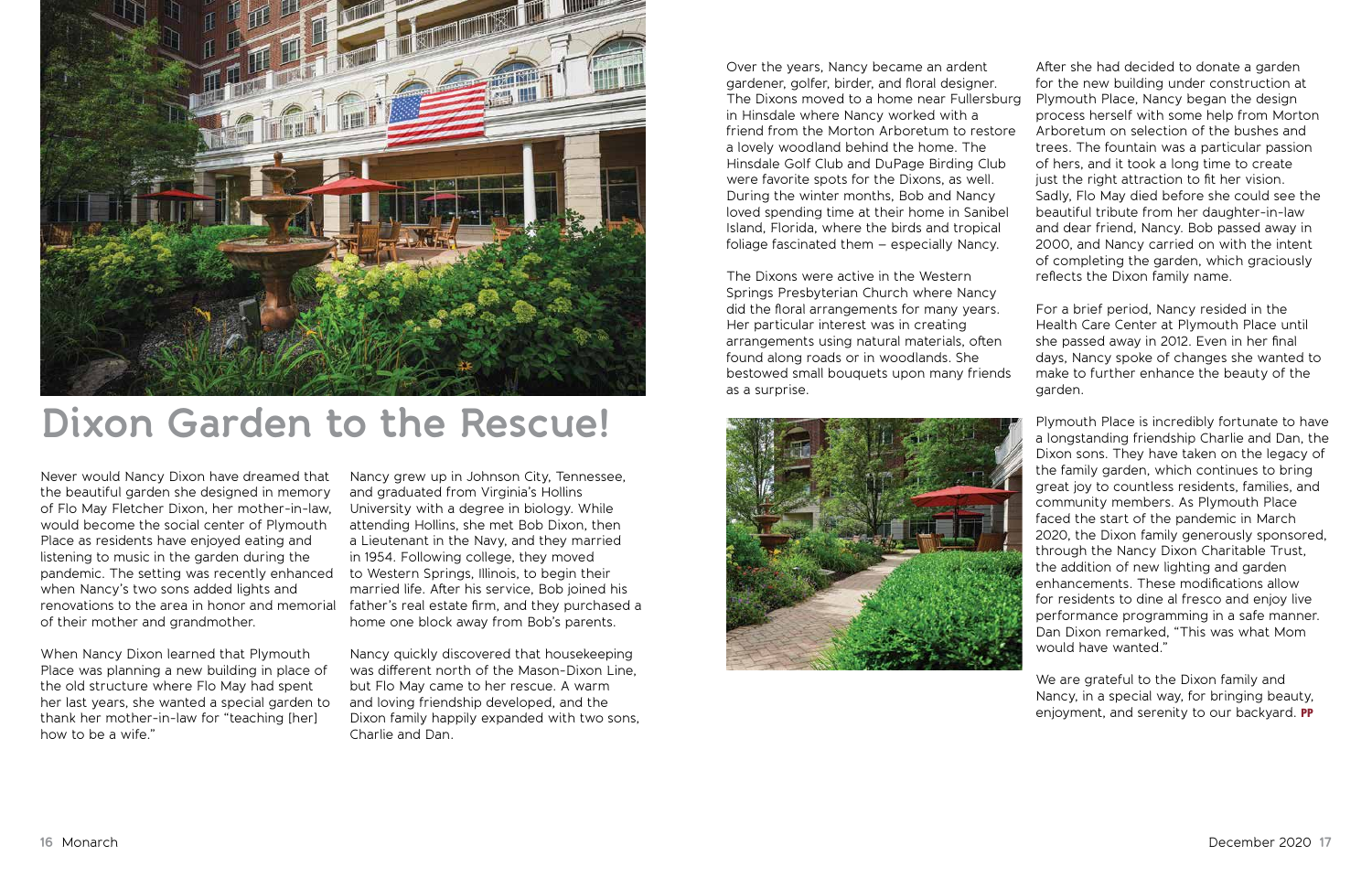Never would Nancy Dixon have dreamed that the beautiful garden she designed in memory of Flo May Fletcher Dixon, her mother-in-law, would become the social center of Plymouth Place as residents have enjoyed eating and listening to music in the garden during the pandemic. The setting was recently enhanced when Nancy's two sons added lights and renovations to the area in honor and memorial of their mother and grandmother.

When Nancy Dixon learned that Plymouth Place was planning a new building in place of the old structure where Flo May had spent her last years, she wanted a special garden to thank her mother-in-law for "teaching [her] how to be a wife."

Nancy grew up in Johnson City, Tennessee, and graduated from Virginia's Hollins University with a degree in biology. While attending Hollins, she met Bob Dixon, then a Lieutenant in the Navy, and they married in 1954. Following college, they moved to Western Springs, Illinois, to begin their married life. After his service, Bob joined his father's real estate firm, and they purchased a home one block away from Bob's parents.

Nancy quickly discovered that housekeeping was different north of the Mason-Dixon Line, but Flo May came to her rescue. A warm and loving friendship developed, and the Dixon family happily expanded with two sons, Charlie and Dan.



### **Dixon Garden to the Rescue!**

We are grateful to the Dixon family and Nancy, in a special way, for bringing beauty, enjoyment, and serenity to our backyard. PP

Springs Presbyterian Church where Nancy did the floral arrangements for many years. Her particular interest was in creating arrangements using natural materials, often found along roads or in woodlands. She bestowed small bouquets upon many friends as a surprise.



Over the years, Nancy became an ardent gardener, golfer, birder, and floral designer. The Dixons moved to a home near Fullersburg in Hinsdale where Nancy worked with a friend from the Morton Arboretum to restore a lovely woodland behind the home. The Hinsdale Golf Club and DuPage Birding Club were favorite spots for the Dixons, as well. During the winter months, Bob and Nancy loved spending time at their home in Sanibel Island, Florida, where the birds and tropical foliage fascinated them – especially Nancy. The Dixons were active in the Western After she had decided to donate a garden for the new building under construction at Plymouth Place, Nancy began the design process herself with some help from Morton Arboretum on selection of the bushes and trees. The fountain was a particular passion of hers, and it took a long time to create just the right attraction to fit her vision. Sadly, Flo May died before she could see the beautiful tribute from her daughter-in-law and dear friend, Nancy. Bob passed away in 2000, and Nancy carried on with the intent of completing the garden, which graciously reflects the Dixon family name.

> For a brief period, Nancy resided in the Health Care Center at Plymouth Place until she passed away in 2012. Even in her final days, Nancy spoke of changes she wanted to make to further enhance the beauty of the garden.

Plymouth Place is incredibly fortunate to have a longstanding friendship Charlie and Dan, the Dixon sons. They have taken on the legacy of the family garden, which continues to bring great joy to countless residents, families, and community members. As Plymouth Place faced the start of the pandemic in March 2020, the Dixon family generously sponsored, through the Nancy Dixon Charitable Trust, the addition of new lighting and garden enhancements. These modifications allow for residents to dine al fresco and enjoy live performance programming in a safe manner. Dan Dixon remarked, "This was what Mom would have wanted."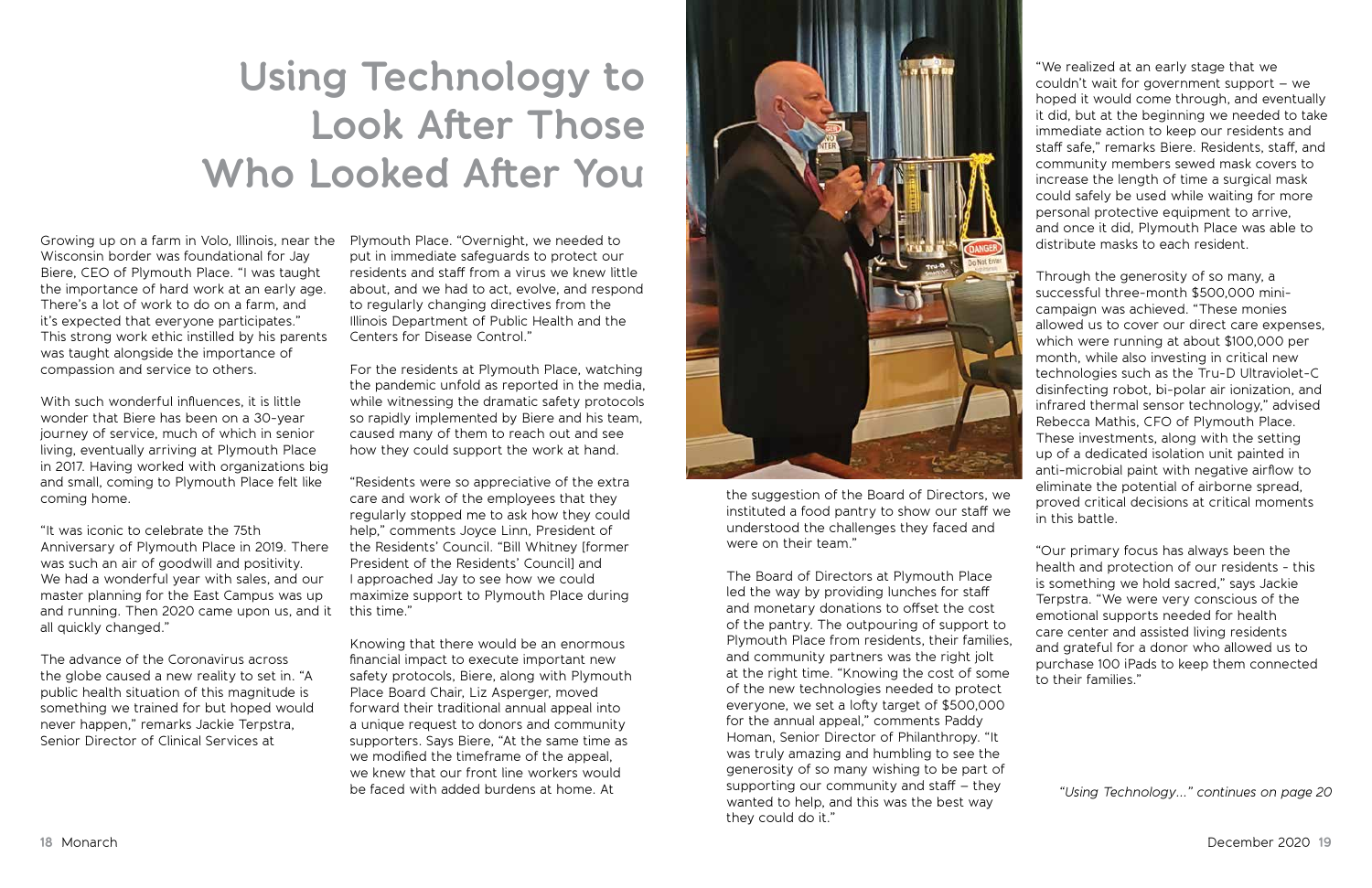the suggestion of the Board of Directors, we instituted a food pantry to show our staff we understood the challenges they faced and were on their team."

The Board of Directors at Plymouth Place led the way by providing lunches for staff and monetary donations to offset the cost of the pantry. The outpouring of support to Plymouth Place from residents, their families, and community partners was the right jolt at the right time. "Knowing the cost of some of the new technologies needed to protect everyone, we set a lofty target of \$500,000 for the annual appeal," comments Paddy Homan, Senior Director of Philanthropy. "It was truly amazing and humbling to see the generosity of so many wishing to be part of supporting our community and staff – they wanted to help, and this was the best way they could do it."

Growing up on a farm in Volo, Illinois, near the Plymouth Place. "Overnight, we needed to Wisconsin border was foundational for Jay Biere, CEO of Plymouth Place. "I was taught the importance of hard work at an early age. There's a lot of work to do on a farm, and it's expected that everyone participates." This strong work ethic instilled by his parents was taught alongside the importance of compassion and service to others.

With such wonderful influences, it is little wonder that Biere has been on a 30-year journey of service, much of which in senior living, eventually arriving at Plymouth Place in 2017. Having worked with organizations big and small, coming to Plymouth Place felt like coming home.

"It was iconic to celebrate the 75th Anniversary of Plymouth Place in 2019. There was such an air of goodwill and positivity. We had a wonderful year with sales, and our master planning for the East Campus was up and running. Then 2020 came upon us, and it all quickly changed."

The advance of the Coronavirus across the globe caused a new reality to set in. "A public health situation of this magnitude is something we trained for but hoped would never happen," remarks Jackie Terpstra, Senior Director of Clinical Services at

put in immediate safeguards to protect our residents and staff from a virus we knew little about, and we had to act, evolve, and respond to regularly changing directives from the Illinois Department of Public Health and the Centers for Disease Control."

For the residents at Plymouth Place, watching the pandemic unfold as reported in the media, while witnessing the dramatic safety protocols so rapidly implemented by Biere and his team, caused many of them to reach out and see how they could support the work at hand.

"Residents were so appreciative of the extra care and work of the employees that they regularly stopped me to ask how they could help," comments Joyce Linn, President of the Residents' Council. "Bill Whitney [former President of the Residents' Council] and I approached Jay to see how we could maximize support to Plymouth Place during this time."

Knowing that there would be an enormous financial impact to execute important new safety protocols, Biere, along with Plymouth Place Board Chair, Liz Asperger, moved forward their traditional annual appeal into a unique request to donors and community supporters. Says Biere, "At the same time as we modified the timeframe of the appeal, we knew that our front line workers would be faced with added burdens at home. At



## **Using Technology to Look After Those Who Looked After You**

*"Using Technology..." continues on page 20*

"We realized at an early stage that we couldn't wait for government support – we hoped it would come through, and eventually it did, but at the beginning we needed to take immediate action to keep our residents and staff safe," remarks Biere. Residents, staff, and community members sewed mask covers to increase the length of time a surgical mask could safely be used while waiting for more personal protective equipment to arrive, and once it did, Plymouth Place was able to distribute masks to each resident.

Through the generosity of so many, a successful three-month \$500,000 minicampaign was achieved. "These monies allowed us to cover our direct care expenses, which were running at about \$100,000 per month, while also investing in critical new technologies such as the Tru-D Ultraviolet-C disinfecting robot, bi-polar air ionization, and infrared thermal sensor technology," advised Rebecca Mathis, CFO of Plymouth Place. These investments, along with the setting up of a dedicated isolation unit painted in anti-microbial paint with negative airflow to eliminate the potential of airborne spread, proved critical decisions at critical moments in this battle.

"Our primary focus has always been the health and protection of our residents - this is something we hold sacred," says Jackie Terpstra. "We were very conscious of the emotional supports needed for health care center and assisted living residents and grateful for a donor who allowed us to purchase 100 iPads to keep them connected to their families."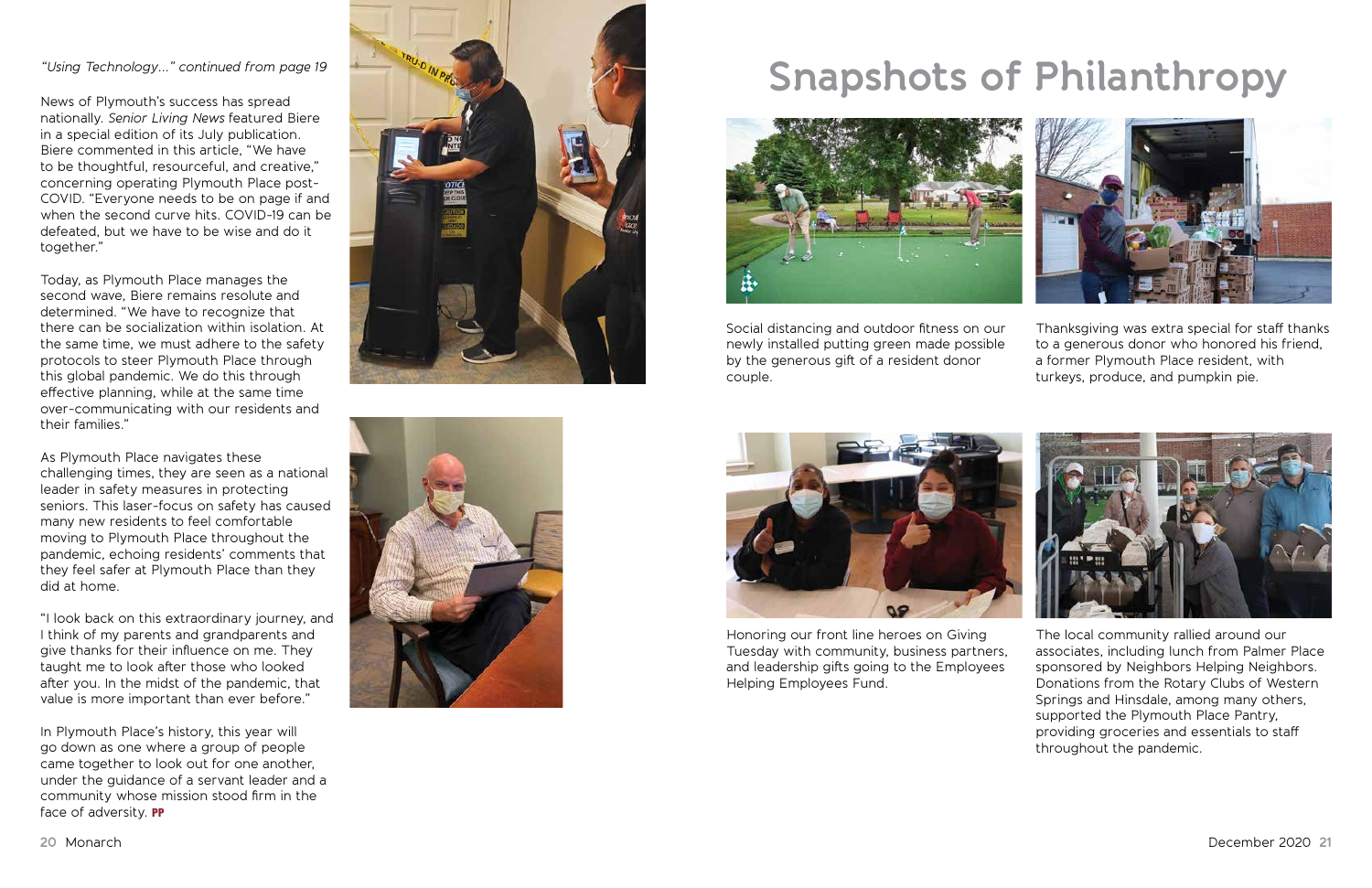News of Plymouth's success has spread nationally. *Senior Living News* featured Biere in a special edition of its July publication. Biere commented in this article, "We have to be thoughtful, resourceful, and creative," concerning operating Plymouth Place post-COVID. "Everyone needs to be on page if and when the second curve hits. COVID-19 can be defeated, but we have to be wise and do it together."

Today, as Plymouth Place manages the second wave, Biere remains resolute and determined. "We have to recognize that there can be socialization within isolation. At the same time, we must adhere to the safety protocols to steer Plymouth Place through this global pandemic. We do this through effective planning, while at the same time over-communicating with our residents and their families."

In Plymouth Place's history, this year will go down as one where a group of people came together to look out for one another, under the guidance of a servant leader and a community whose mission stood firm in the face of adversity. PP





# *"Using Technology..." continued from page 19* **Solution** with the snapshots of Philanthropy



As Plymouth Place navigates these challenging times, they are seen as a national leader in safety measures in protecting seniors. This laser-focus on safety has caused many new residents to feel comfortable moving to Plymouth Place throughout the pandemic, echoing residents' comments that they feel safer at Plymouth Place than they did at home.

"I look back on this extraordinary journey, and I think of my parents and grandparents and give thanks for their influence on me. They taught me to look after those who looked after you. In the midst of the pandemic, that value is more important than ever before."

Social distancing and outdoor fitness on our newly installed putting green made possible by the generous gift of a resident donor couple.



Honoring our front line heroes on Giving Tuesday with community, business partners, and leadership gifts going to the Employees Helping Employees Fund.





Thanksgiving was extra special for staff thanks to a generous donor who honored his friend, a former Plymouth Place resident, with turkeys, produce, and pumpkin pie.



The local community rallied around our associates, including lunch from Palmer Place sponsored by Neighbors Helping Neighbors. Donations from the Rotary Clubs of Western Springs and Hinsdale, among many others, supported the Plymouth Place Pantry, providing groceries and essentials to staff throughout the pandemic.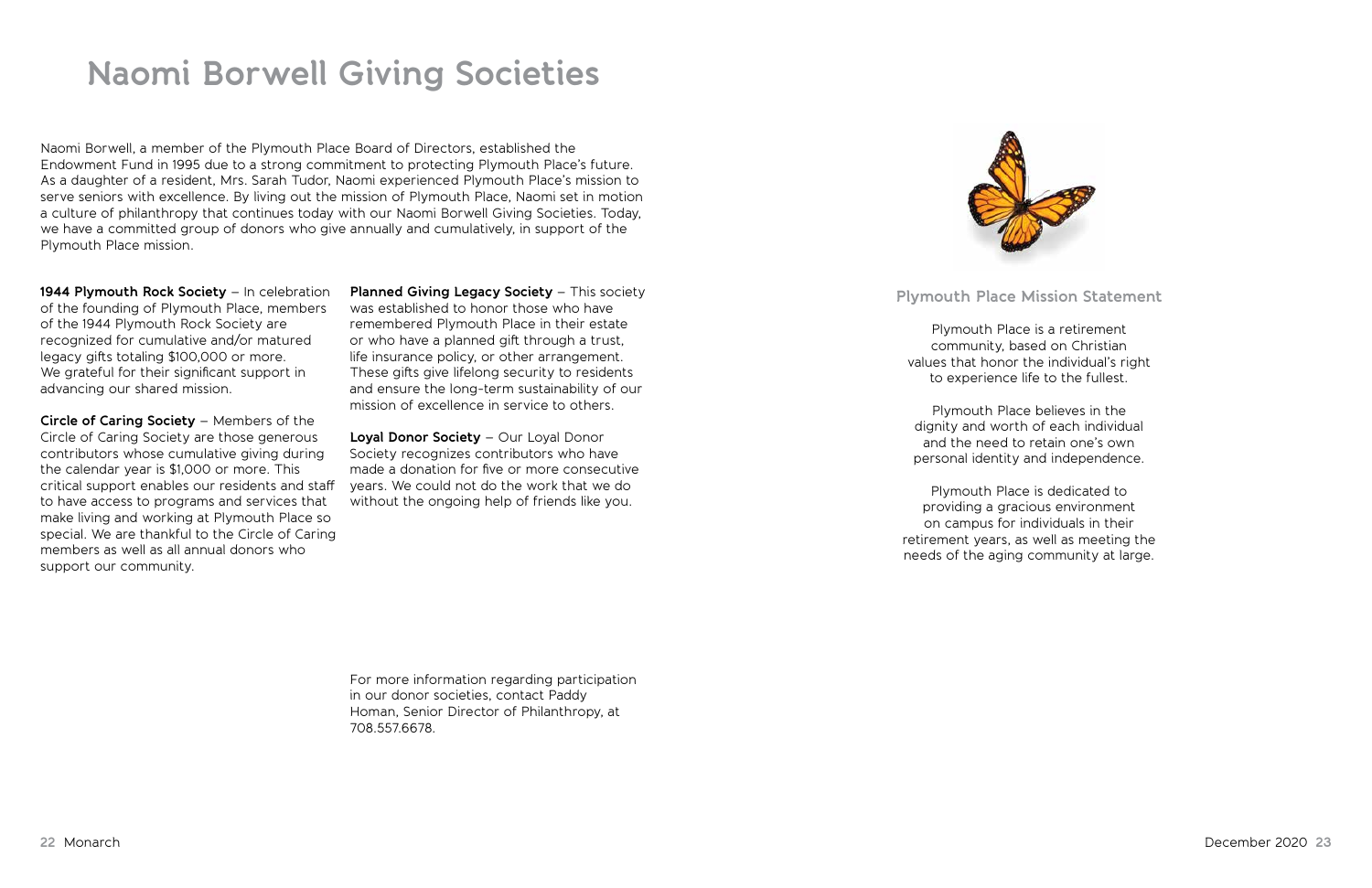### **Naomi Borwell Giving Societies**

#### **Plymouth Place Mission Statement**

Plymouth Place is a retirement community, based on Christian values that honor the individual's right to experience life to the fullest.

Plymouth Place believes in the dignity and worth of each individual and the need to retain one's own personal identity and independence.

Plymouth Place is dedicated to providing a gracious environment on campus for individuals in their retirement years, as well as meeting the needs of the aging community at large.

Naomi Borwell, a member of the Plymouth Place Board of Directors, established the Endowment Fund in 1995 due to a strong commitment to protecting Plymouth Place's future. As a daughter of a resident, Mrs. Sarah Tudor, Naomi experienced Plymouth Place's mission to serve seniors with excellence. By living out the mission of Plymouth Place, Naomi set in motion a culture of philanthropy that continues today with our Naomi Borwell Giving Societies. Today, we have a committed group of donors who give annually and cumulatively, in support of the Plymouth Place mission.

**1944 Plymouth Rock Society** – In celebration of the founding of Plymouth Place, members of the 1944 Plymouth Rock Society are recognized for cumulative and/or matured legacy gifts totaling \$100,000 or more. We grateful for their significant support in advancing our shared mission.

**Circle of Caring Society** – Members of the Circle of Caring Society are those generous contributors whose cumulative giving during the calendar year is \$1,000 or more. This critical support enables our residents and staff to have access to programs and services that make living and working at Plymouth Place so special. We are thankful to the Circle of Caring members as well as all annual donors who support our community.

**Planned Giving Legacy Society** – This society was established to honor those who have remembered Plymouth Place in their estate or who have a planned gift through a trust, life insurance policy, or other arrangement. These gifts give lifelong security to residents and ensure the long-term sustainability of our mission of excellence in service to others.

**Loyal Donor Society** – Our Loyal Donor Society recognizes contributors who have made a donation for five or more consecutive years. We could not do the work that we do without the ongoing help of friends like you.

For more information regarding participation in our donor societies, contact Paddy Homan, Senior Director of Philanthropy, at 708.557.6678.